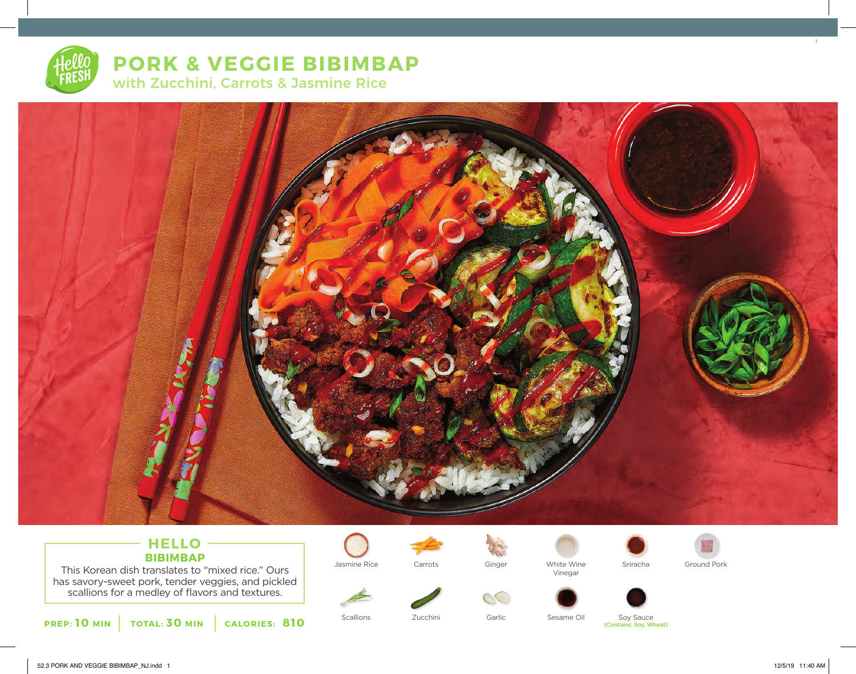

**PORK & VEGGIE BIBIMBAP** with Zucchini, Carrots & Jasmine Rice



## **HELLO BIBIMBAP**

This Korean dish translates to "mixed rice." Ours has savory-sweet pork, tender veggies, and pickled scallions for a medley of flavors and textures.









 $\alpha$ 

Jasmine Rice Carrots Ginger White Wine Vinegar





Zucchini

Scallions **Supersection** Garlic Sesame Oil Soy Sauce (Contains: Soy, Wheat)



3